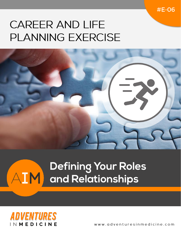$#E-OG$ 

# **CAREER AND LIFE PLANNING EXERCISE**



# Defining Your Roles **AIM** and Relationships



www.adventuresinmedicine.com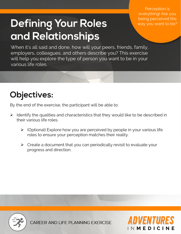# **Defining Your Roles** and Relationships

Perception is everything! Are you being perceived the way you want to be?

When it's all said and done, how will your peers, friends, family, employers, colleagues, and others describe you? This exercise will help you explore the type of person you want to be in your various life roles.

### **Objectives:**

By the end of the exercise, the participant will be able to:

- $\triangleright$  Identify the qualities and characteristics that they would like to be described in their various life roles.
	- $\triangleright$  (Optional) Explore how you are perceived by people in your various life roles to ensure your perception matches their reality.
	- $\triangleright$  Create a document that you can periodically revisit to evaluate your progress and direction.



CAREER AND LIFE PLANNING EXERCISE

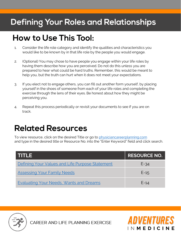#### **Defining Your Roles and Relationships**

#### **How to Use This Tool:**

- 1. Consider the life role category and identify the qualities and characteristics you would like to be known by in that life role by the people you would engage.
- 2. (Optional) You may chose to have people you engage within your life roles by having them describe how you are perceived. Do not do this unless you are prepared to hear what could be hard truths. Remember, this would be meant to help you, but the truth can hurt when it does not meet your expectations.
- 3. If you elect not to engage others, you can fill out another form yourself, by placing yourself in the shoes of someone from each of your life roles and completing the exercise through the lens of their eyes. Be honest about how they might be perceiving you.
- 4. Repeat this process periodically or revisit your documents to see if you are on track.

#### **Related Resources**

To view resource, click on the desired Title or go to [physiciancareerplanning.com](http://physiciancareerplanning.com/) and type in the desired title or Resource No. into the "Enter Keyword" field and click search.

| trinitzi                                        | <b>RESOURCE NO.</b> |
|-------------------------------------------------|---------------------|
| Defining Your Values and Life Purpose Statement | $E-34$              |
| <b>Assessing Your Family Needs</b>              | $E-15$              |
| <b>Evaluating Your Needs, Wants and Dreams</b>  | $E-14$              |

| N **M E D I C I** 



CAREER AND LIFE PLANNING EXERCISE